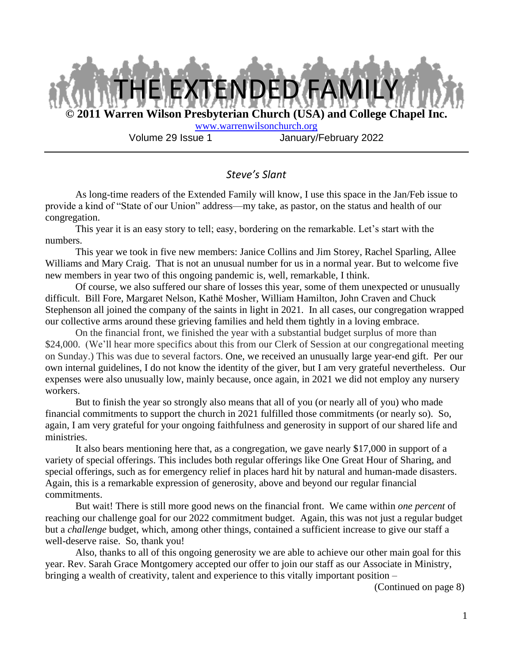

#### *Steve's Slant*

As long-time readers of the Extended Family will know, I use this space in the Jan/Feb issue to provide a kind of "State of our Union" address—my take, as pastor, on the status and health of our congregation.

This year it is an easy story to tell; easy, bordering on the remarkable. Let's start with the numbers.

This year we took in five new members: Janice Collins and Jim Storey, Rachel Sparling, Allee Williams and Mary Craig. That is not an unusual number for us in a normal year. But to welcome five new members in year two of this ongoing pandemic is, well, remarkable, I think.

Of course, we also suffered our share of losses this year, some of them unexpected or unusually difficult. Bill Fore, Margaret Nelson, Kathë Mosher, William Hamilton, John Craven and Chuck Stephenson all joined the company of the saints in light in 2021. In all cases, our congregation wrapped our collective arms around these grieving families and held them tightly in a loving embrace.

On the financial front, we finished the year with a substantial budget surplus of more than \$24,000. (We'll hear more specifics about this from our Clerk of Session at our congregational meeting on Sunday.) This was due to several factors. One, we received an unusually large year-end gift. Per our own internal guidelines, I do not know the identity of the giver, but I am very grateful nevertheless. Our expenses were also unusually low, mainly because, once again, in 2021 we did not employ any nursery workers.

But to finish the year so strongly also means that all of you (or nearly all of you) who made financial commitments to support the church in 2021 fulfilled those commitments (or nearly so). So, again, I am very grateful for your ongoing faithfulness and generosity in support of our shared life and ministries.

It also bears mentioning here that, as a congregation, we gave nearly \$17,000 in support of a variety of special offerings. This includes both regular offerings like One Great Hour of Sharing, and special offerings, such as for emergency relief in places hard hit by natural and human-made disasters. Again, this is a remarkable expression of generosity, above and beyond our regular financial commitments.

But wait! There is still more good news on the financial front. We came within *one percent* of reaching our challenge goal for our 2022 commitment budget. Again, this was not just a regular budget but a *challenge* budget, which, among other things, contained a sufficient increase to give our staff a well-deserve raise. So, thank you!

Also, thanks to all of this ongoing generosity we are able to achieve our other main goal for this year. Rev. Sarah Grace Montgomery accepted our offer to join our staff as our Associate in Ministry, bringing a wealth of creativity, talent and experience to this vitally important position –

(Continued on page 8)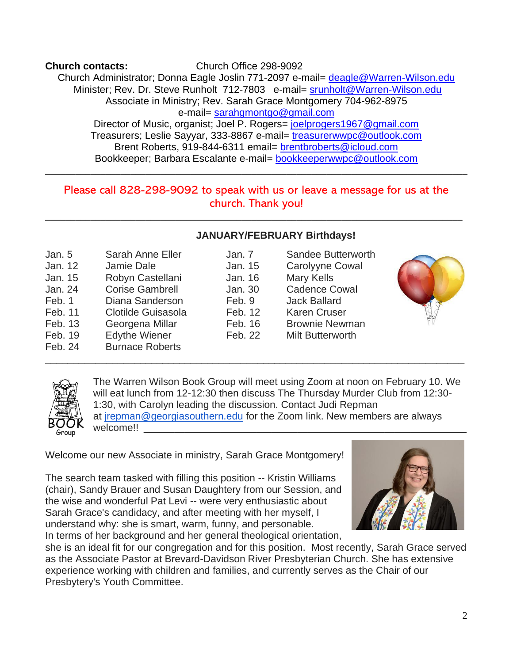**Church contacts:** Church Office 298-9092 Church Administrator; Donna Eagle Joslin 771-2097 e-mail= deagle@Warren-Wilson.edu Minister; Rev. Dr. Steve Runholt 712-7803 e-mail= srunholt@Warren-Wilson.edu Associate in Ministry; Rev. Sarah Grace Montgomery 704-962-8975 e-mail= sarahgmontgo@gmail.com Director of Music, organist; Joel P. Rogers= joelprogers1967@gmail.com Treasurers; Leslie Sayyar, 333-8867 e-mail= treasurerwwpc@outlook.com Brent Roberts, 919-844-6311 email= brentbroberts@icloud.com Bookkeeper; Barbara Escalante e-mail= bookkeeperwwpc@outlook.com

#### Please call 828-298-9092 to speak with us or leave a message for us at the church. Thank you!

\_\_\_\_\_\_\_\_\_\_\_\_\_\_\_\_\_\_\_\_\_\_\_\_\_\_\_\_\_\_\_\_\_\_\_\_\_\_\_\_\_\_\_\_\_\_\_\_\_\_\_\_\_\_\_\_\_\_\_\_\_\_\_\_\_\_\_\_\_\_\_\_\_\_\_\_\_\_\_\_\_\_\_

\_\_\_\_\_\_\_\_\_\_\_\_\_\_\_\_\_\_\_\_\_\_\_\_\_\_\_\_\_\_\_\_\_\_\_\_\_\_\_\_\_\_\_\_\_\_\_\_\_\_\_\_\_\_\_\_\_\_\_\_\_\_\_\_\_\_\_\_\_\_\_\_\_\_\_\_\_\_\_\_\_\_\_\_

#### **JANUARY/FEBRUARY Birthdays!**

Feb. 9 Jack Ballard Feb. 12 Karen Cruser Feb. 16 Brownie Newman

| Jan. 5<br>Jan. 12<br>Jan. 15<br>Jan. 24<br>Feb. 1<br>Feb. 11<br>Feb. 13<br>Feb. 19 | <b>Sarah Anne Eller</b><br>Jamie Dale<br>Robyn Castellani<br><b>Corise Gambrell</b><br>Diana Sanderson<br>Clotilde Guisasola<br>Georgena Millar<br><b>Edythe Wiener</b> |
|------------------------------------------------------------------------------------|-------------------------------------------------------------------------------------------------------------------------------------------------------------------------|
| Feb. 24                                                                            | <b>Burnace Roberts</b>                                                                                                                                                  |
|                                                                                    |                                                                                                                                                                         |

Feb. 22 Milt Butterworth \_\_\_\_\_\_\_\_\_\_\_\_\_\_\_\_\_\_\_\_\_\_\_\_\_\_\_\_\_\_\_\_\_\_\_\_\_\_\_\_\_\_\_\_\_\_\_\_\_\_\_\_\_\_\_\_\_\_\_\_\_\_\_\_\_\_\_\_\_\_\_\_\_\_\_ The Warren Wilson Book Group will meet using Zoom at noon on February 10. We will eat lunch from 12-12:30 then discuss The Thursday Murder Club from 12:30- 1:30, with Carolyn leading the discussion. Contact Judi Repman at jrepman@georgiasouthern.edu for the Zoom link. New members are always welcome!!

Welcome our new Associate in ministry, Sarah Grace Montgomery!

The search team tasked with filling this position -- Kristin Williams (chair), Sandy Brauer and Susan Daughtery from our Session, and the wise and wonderful Pat Levi -- were very enthusiastic about Sarah Grace's candidacy, and after meeting with her myself, I understand why: she is smart, warm, funny, and personable. In terms of her background and her general theological orientation,

she is an ideal fit for our congregation and for this position. Most recently, Sarah Grace served as the Associate Pastor at Brevard-Davidson River Presbyterian Church. She has extensive experience working with children and families, and currently serves as the Chair of our Presbytery's Youth Committee.





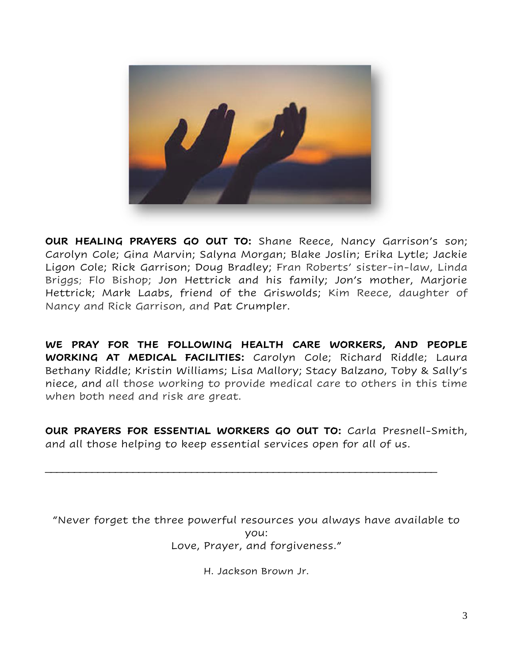

**OUR HEALING PRAYERS GO OUT TO:** Shane Reece, Nancy Garrison's son; Carolyn Cole; Gina Marvin; Salyna Morgan; Blake Joslin; Erika Lytle; Jackie Ligon Cole; Rick Garrison; Doug Bradley; Fran Roberts' sister-in-law, Linda Briggs; Flo Bishop; Jon Hettrick and his family; Jon's mother, Marjorie Hettrick; Mark Laabs, friend of the Griswolds; Kim Reece, daughter of Nancy and Rick Garrison, and Pat Crumpler.

**WE PRAY FOR THE FOLLOWING HEALTH CARE WORKERS, AND PEOPLE WORKING AT MEDICAL FACILITIES:** Carolyn Cole; Richard Riddle; Laura Bethany Riddle; Kristin Williams; Lisa Mallory; Stacy Balzano, Toby & Sally's niece, and all those working to provide medical care to others in this time when both need and risk are great.

**OUR PRAYERS FOR ESSENTIAL WORKERS GO OUT TO:** Carla Presnell-Smith, and all those helping to keep essential services open for all of us.

\_\_\_\_\_\_\_\_\_\_\_\_\_\_\_\_\_\_\_\_\_\_\_\_\_\_\_\_\_\_\_\_\_\_\_\_\_\_\_\_\_\_\_\_\_\_\_\_\_\_\_\_\_\_\_\_\_\_\_\_\_\_\_\_\_\_\_

"Never forget the three powerful resources you always have available to you: Love, Prayer, and forgiveness."

H. Jackson Brown Jr.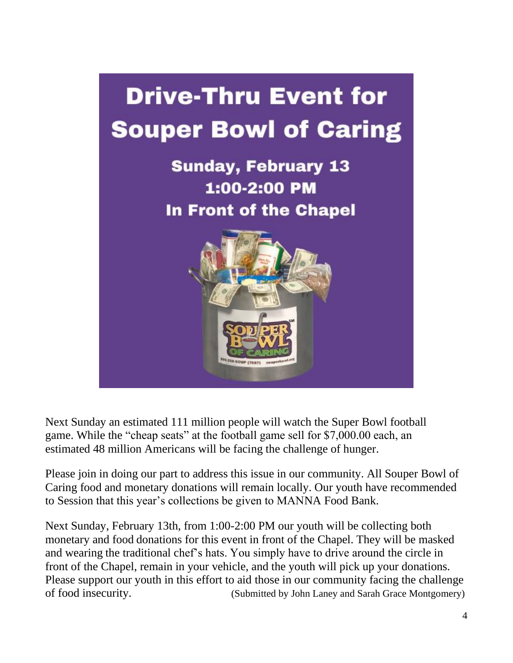

Next Sunday an estimated 111 million people will watch the Super Bowl football game. While the "cheap seats" at the football game sell for \$7,000.00 each, an estimated 48 million Americans will be facing the challenge of hunger.

Please join in doing our part to address this issue in our community. All Souper Bowl of Caring food and monetary donations will remain locally. Our youth have recommended to Session that this year's collections be given to MANNA Food Bank.

Next Sunday, February 13th, from 1:00-2:00 PM our youth will be collecting both monetary and food donations for this event in front of the Chapel. They will be masked and wearing the traditional chef's hats. You simply have to drive around the circle in front of the Chapel, remain in your vehicle, and the youth will pick up your donations. Please support our youth in this effort to aid those in our community facing the challenge of food insecurity. (Submitted by John Laney and Sarah Grace Montgomery)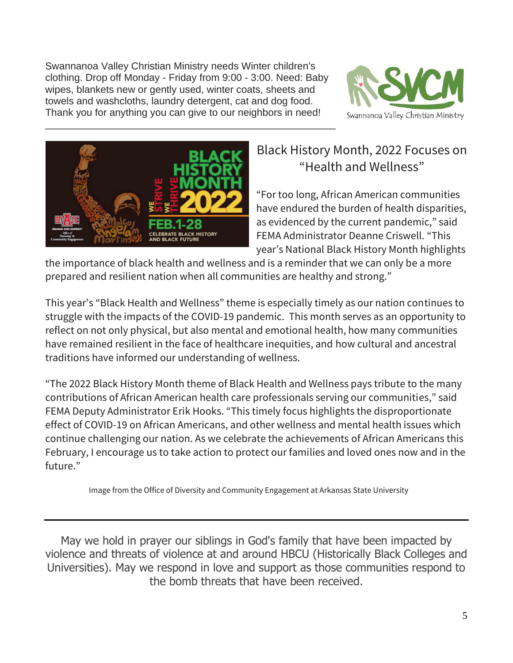Swannanoa Valley Christian Ministry needs Winter children's clothing. Drop off Monday - Friday from 9:00 - 3:00. Need: Baby wipes, blankets new or gently used, winter coats, sheets and towels and washcloths, laundry detergent, cat and dog food. Thank you for anything you can give to our neighbors in need!

\_\_\_\_\_\_\_\_\_\_\_\_\_\_\_\_\_\_\_\_\_\_\_\_\_\_\_\_\_\_\_\_\_\_\_\_\_\_\_\_\_\_\_\_\_\_\_\_\_\_\_\_





### Black History Month, 2022 Focuses on "Health and Wellness"

"For too long, African American communities have endured the burden of health disparities, as evidenced by the current pandemic," said FEMA Administrator Deanne Criswell. "This year's National Black History Month highlights

the importance of black health and wellness and is a reminder that we can only be a more prepared and resilient nation when all communities are healthy and strong."

This year's "Black Health and Wellness" theme is especially timely as our nation continues to struggle with the impacts of the COVID-19 pandemic. This month serves as an opportunity to reflect on not only physical, but also mental and emotional health, how many communities have remained resilient in the face of healthcare inequities, and how cultural and ancestral traditions have informed our understanding of wellness.

"The 2022 Black History Month theme of Black Health and Wellness pays tribute to the many contributions of African American health care professionals serving our communities," said FEMA Deputy Administrator Erik Hooks. "This timely focus highlights the disproportionate effect of COVID-19 on African Americans, and other wellness and mental health issues which continue challenging our nation. As we celebrate the achievements of African Americans this February, I encourage us to take action to protect our families and loved ones now and in the future."

Image from the Office of Diversity and Community Engagement at Arkansas State University

May we hold in prayer our siblings in God's family that have been impacted by violence and threats of violence at and around HBCU (Historically Black Colleges and Universities). May we respond in love and support as those communities respond to the bomb threats that have been received.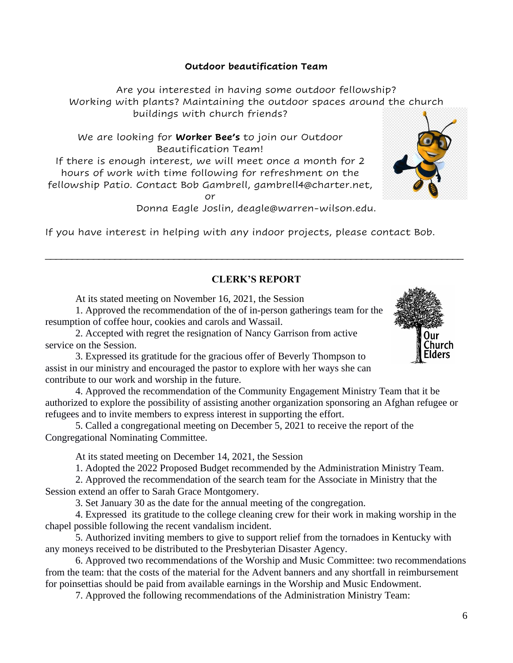#### **Outdoor beautification Team**

Are you interested in having some outdoor fellowship? Working with plants? Maintaining the outdoor spaces around the church buildings with church friends?

We are looking for **Worker Bee's** to join our Outdoor Beautification Team! If there is enough interest, we will meet once a month for 2 hours of work with time following for refreshment on the fellowship Patio. Contact Bob Gambrell, gambrell4@charter.net, or

Donna Eagle Joslin, deagle@warren-wilson.edu.

If you have interest in helping with any indoor projects, please contact Bob.

#### **CLERK'S REPORT**

\_\_\_\_\_\_\_\_\_\_\_\_\_\_\_\_\_\_\_\_\_\_\_\_\_\_\_\_\_\_\_\_\_\_\_\_\_\_\_\_\_\_\_\_\_\_\_\_\_\_\_\_\_\_\_\_\_\_\_\_\_\_\_\_\_\_\_\_\_\_\_\_\_\_\_\_\_\_

At its stated meeting on November 16, 2021, the Session

1. Approved the recommendation of the of in-person gatherings team for the resumption of coffee hour, cookies and carols and Wassail.

2. Accepted with regret the resignation of Nancy Garrison from active service on the Session.

3. Expressed its gratitude for the gracious offer of Beverly Thompson to assist in our ministry and encouraged the pastor to explore with her ways she can contribute to our work and worship in the future.

4. Approved the recommendation of the Community Engagement Ministry Team that it be authorized to explore the possibility of assisting another organization sponsoring an Afghan refugee or refugees and to invite members to express interest in supporting the effort.

5. Called a congregational meeting on December 5, 2021 to receive the report of the Congregational Nominating Committee.

At its stated meeting on December 14, 2021, the Session

1. Adopted the 2022 Proposed Budget recommended by the Administration Ministry Team.

2. Approved the recommendation of the search team for the Associate in Ministry that the Session extend an offer to Sarah Grace Montgomery.

3. Set January 30 as the date for the annual meeting of the congregation.

4. Expressed its gratitude to the college cleaning crew for their work in making worship in the chapel possible following the recent vandalism incident.

5. Authorized inviting members to give to support relief from the tornadoes in Kentucky with any moneys received to be distributed to the Presbyterian Disaster Agency.

6. Approved two recommendations of the Worship and Music Committee: two recommendations from the team: that the costs of the material for the Advent banners and any shortfall in reimbursement for poinsettias should be paid from available earnings in the Worship and Music Endowment.

7. Approved the following recommendations of the Administration Ministry Team:



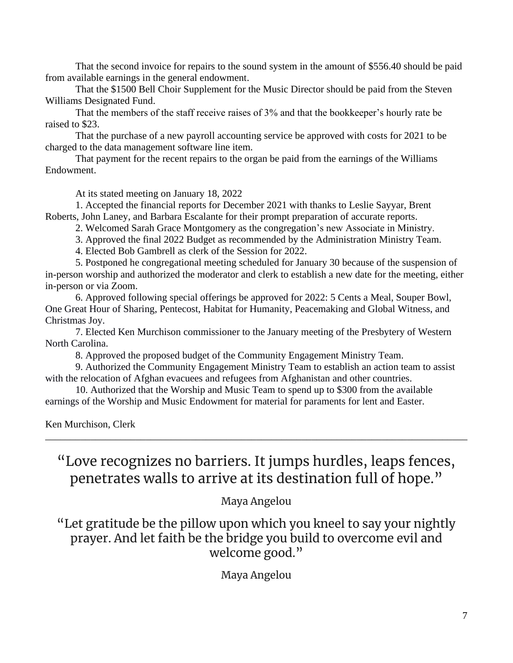That the second invoice for repairs to the sound system in the amount of \$556.40 should be paid from available earnings in the general endowment.

That the \$1500 Bell Choir Supplement for the Music Director should be paid from the Steven Williams Designated Fund.

That the members of the staff receive raises of 3% and that the bookkeeper's hourly rate be raised to \$23.

That the purchase of a new payroll accounting service be approved with costs for 2021 to be charged to the data management software line item.

That payment for the recent repairs to the organ be paid from the earnings of the Williams Endowment.

At its stated meeting on January 18, 2022

1. Accepted the financial reports for December 2021 with thanks to Leslie Sayyar, Brent Roberts, John Laney, and Barbara Escalante for their prompt preparation of accurate reports.

2. Welcomed Sarah Grace Montgomery as the congregation's new Associate in Ministry.

3. Approved the final 2022 Budget as recommended by the Administration Ministry Team.

4. Elected Bob Gambrell as clerk of the Session for 2022.

5. Postponed he congregational meeting scheduled for January 30 because of the suspension of in-person worship and authorized the moderator and clerk to establish a new date for the meeting, either in-person or via Zoom.

6. Approved following special offerings be approved for 2022: 5 Cents a Meal, Souper Bowl, One Great Hour of Sharing, Pentecost, Habitat for Humanity, Peacemaking and Global Witness, and Christmas Joy.

7. Elected Ken Murchison commissioner to the January meeting of the Presbytery of Western North Carolina.

8. Approved the proposed budget of the Community Engagement Ministry Team.

9. Authorized the Community Engagement Ministry Team to establish an action team to assist with the relocation of Afghan evacuees and refugees from Afghanistan and other countries.

10. Authorized that the Worship and Music Team to spend up to \$300 from the available earnings of the Worship and Music Endowment for material for paraments for lent and Easter.

Ken Murchison, Clerk

"Love recognizes no barriers. It jumps hurdles, leaps fences, penetrates walls to arrive at its destination full of hope."

\_\_\_\_\_\_\_\_\_\_\_\_\_\_\_\_\_\_\_\_\_\_\_\_\_\_\_\_\_\_\_\_\_\_\_\_\_\_\_\_\_\_\_\_\_\_\_\_\_\_\_\_\_\_\_\_\_\_\_\_\_\_\_\_\_\_\_\_\_\_\_\_\_\_\_\_\_\_\_\_\_\_\_\_

Maya Angelou

"Let gratitude be the pillow upon which you kneel to say your nightly prayer. And let faith be the bridge you build to overcome evil and welcome good."

Maya Angelou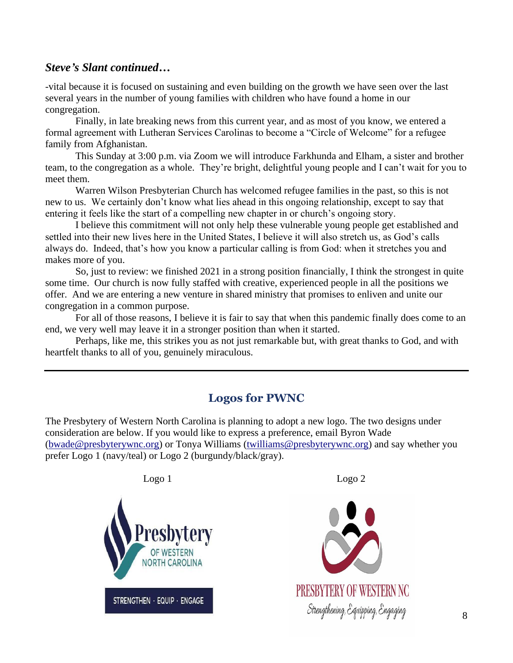#### *Steve's Slant continued…*

-vital because it is focused on sustaining and even building on the growth we have seen over the last several years in the number of young families with children who have found a home in our congregation.

Finally, in late breaking news from this current year, and as most of you know, we entered a formal agreement with Lutheran Services Carolinas to become a "Circle of Welcome" for a refugee family from Afghanistan.

This Sunday at 3:00 p.m. via Zoom we will introduce Farkhunda and Elham, a sister and brother team, to the congregation as a whole. They're bright, delightful young people and I can't wait for you to meet them.

Warren Wilson Presbyterian Church has welcomed refugee families in the past, so this is not new to us. We certainly don't know what lies ahead in this ongoing relationship, except to say that entering it feels like the start of a compelling new chapter in or church's ongoing story.

I believe this commitment will not only help these vulnerable young people get established and settled into their new lives here in the United States, I believe it will also stretch us, as God's calls always do. Indeed, that's how you know a particular calling is from God: when it stretches you and makes more of you.

So, just to review: we finished 2021 in a strong position financially, I think the strongest in quite some time. Our church is now fully staffed with creative, experienced people in all the positions we offer. And we are entering a new venture in shared ministry that promises to enliven and unite our congregation in a common purpose.

For all of those reasons, I believe it is fair to say that when this pandemic finally does come to an end, we very well may leave it in a stronger position than when it started.

Perhaps, like me, this strikes you as not just remarkable but, with great thanks to God, and with heartfelt thanks to all of you, genuinely miraculous.

#### **Logos for PWNC**

The Presbytery of Western North Carolina is planning to adopt a new logo. The two designs under consideration are below. If you would like to express a preference, email Byron Wade (bwade@presbyterywnc.org) or Tonya Williams (twilliams@presbyterywnc.org) and say whether you prefer Logo 1 (navy/teal) or Logo 2 (burgundy/black/gray).



**PRESBYTERY OF WESTERN NC** Strengthening, Equipping, Engaging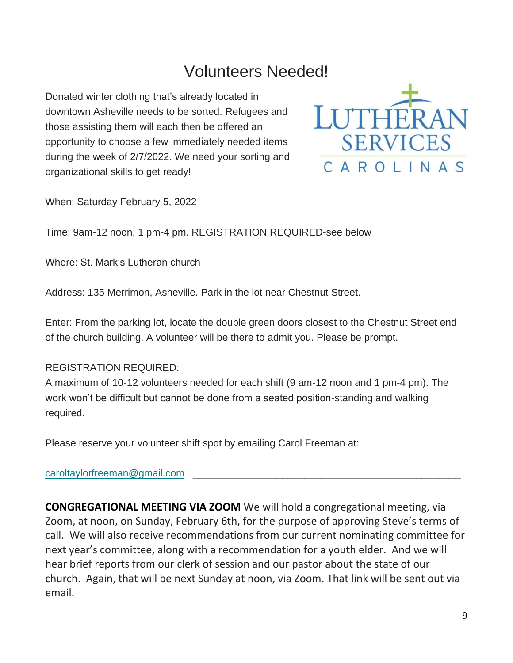## Volunteers Needed!

Donated winter clothing that's already located in downtown Asheville needs to be sorted. Refugees and those assisting them will each then be offered an opportunity to choose a few immediately needed items during the week of 2/7/2022. We need your sorting and organizational skills to get ready!



When: Saturday February 5, 2022

Time: 9am-12 noon, 1 pm-4 pm. REGISTRATION REQUIRED-see below

Where: St. Mark's Lutheran church

Address: 135 Merrimon, Asheville. Park in the lot near Chestnut Street.

Enter: From the parking lot, locate the double green doors closest to the Chestnut Street end of the church building. A volunteer will be there to admit you. Please be prompt.

#### REGISTRATION REQUIRED:

A maximum of 10-12 volunteers needed for each shift (9 am-12 noon and 1 pm-4 pm). The work won't be difficult but cannot be done from a seated position-standing and walking required.

Please reserve your volunteer shift spot by emailing Carol Freeman at:

#### caroltaylorfreeman@gmail.com

**CONGREGATIONAL MEETING VIA ZOOM** We will hold a congregational meeting, via Zoom, at noon, on Sunday, February 6th, for the purpose of approving Steve's terms of call. We will also receive recommendations from our current nominating committee for next year's committee, along with a recommendation for a youth elder. And we will hear brief reports from our clerk of session and our pastor about the state of our church. Again, that will be next Sunday at noon, via Zoom. That link will be sent out via email.